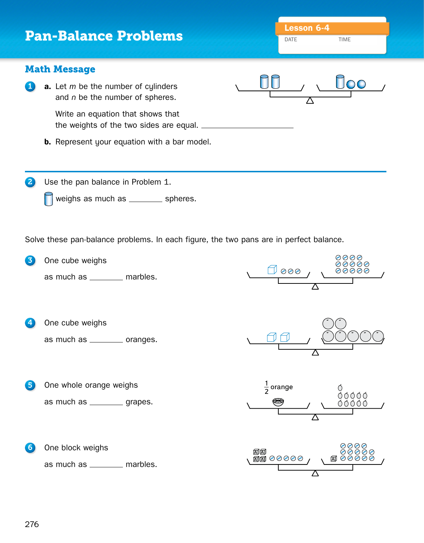